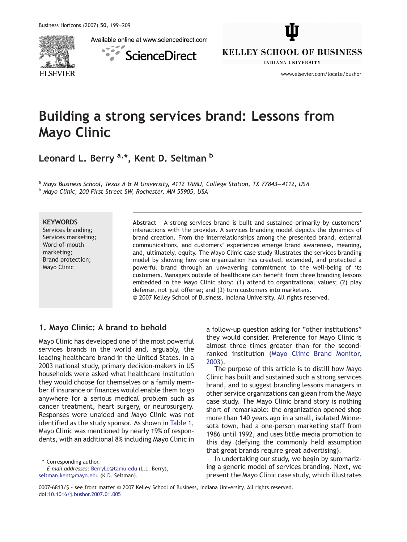Available online at www.sciencedirect.com



ScienceDirect



**INDIANA UNIVERSITY** 

www.elsevier.com/locate/bushor

# Building a strong services brand: Lessons from Mayo Clinic

Leonard L. Berry <sup>a,\*</sup>, Kent D. Seltman <sup>b</sup>

<sup>a</sup> Mays Business School, Texas A & M University, 4112 TAMU, College Station, TX 77843–4112, USA b Mayo Clinic, 200 First Street SW, Rochester, MN 55905, USA

#### **KEYWORDS**

Services branding; Services marketing; Word-of-mouth marketing; Brand protection; Mayo Clinic

Abstract A strong services brand is built and sustained primarily by customers' interactions with the provider. A services branding model depicts the dynamics of brand creation. From the interrelationships among the presented brand, external communications, and customers' experiences emerge brand awareness, meaning, and, ultimately, equity. The Mayo Clinic case study illustrates the services branding model by showing how one organization has created, extended, and protected a powerful brand through an unwavering commitment to the well-being of its customers. Managers outside of healthcare can benefit from three branding lessons embedded in the Mayo Clinic story: (1) attend to organizational values; (2) play defense, not just offense; and (3) turn customers into marketers.

© 2007 Kelley School of Business, Indiana University. All rights reserved.

#### 1. Mayo Clinic: A brand to behold

Mayo Clinic has developed one of the most powerful services brands in the world and, arguably, the leading healthcare brand in the United States. In a 2003 national study, primary decision-makers in US households were asked what healthcare institution they would choose for themselves or a family member if insurance or finances would enable them to go anywhere for a serious medical problem such as cancer treatment, heart surgery, or neurosurgery. Responses were unaided and Mayo Clinic was not identified as the study sponsor. As shown in [Table 1](#page-1-0), Mayo Clinic was mentioned by nearly 19% of respondents, with an additional 8% including Mayo Clinic in

⁎ Corresponding author.

E-mail addresses: [BerryLe@tamu.edu](mailto:BerryLe@tamu.edu) (L.L. Berry), [seltman.kent@mayo.edu](mailto:seltman.kent@mayo.edu) (K.D. Seltman).

a follow-up question asking for "other institutions" they would consider. Preference for Mayo Clinic is almost three times greater than for the secondranked institution [\(Mayo Clinic Brand Monitor,](#page--1-0) [2003\)](#page--1-0).

The purpose of this article is to distill how Mayo Clinic has built and sustained such a strong services brand, and to suggest branding lessons managers in other service organizations can glean from the Mayo case study. The Mayo Clinic brand story is nothing short of remarkable: the organization opened shop more than 140 years ago in a small, isolated Minnesota town, had a one-person marketing staff from 1986 until 1992, and uses little media promotion to this day (defying the commonly held assumption that great brands require great advertising).

In undertaking our study, we begin by summarizing a generic model of services branding. Next, we present the Mayo Clinic case study, which illustrates

0007-6813/\$ - see front matter © 2007 Kelley School of Business, Indiana University. All rights reserved. doi[:10.1016/j.bushor.2007.01.005](http://dx.doi.org/10.1016/j.bushor.2007.01.005)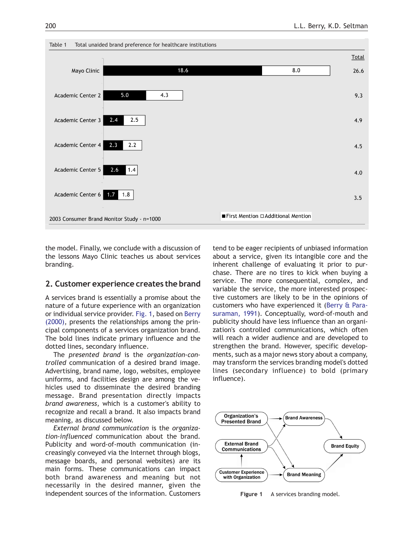<span id="page-1-0"></span>

the model. Finally, we conclude with a discussion of the lessons Mayo Clinic teaches us about services branding.

### 2. Customer experience creates the brand

A services brand is essentially a promise about the nature of a future experience with an organization or individual service provider. Fig. 1, based on [Berry](#page--1-0) [\(2000\)](#page--1-0), presents the relationships among the principal components of a services organization brand. The bold lines indicate primary influence and the dotted lines, secondary influence.

The presented brand is the organization-controlled communication of a desired brand image. Advertising, brand name, logo, websites, employee uniforms, and facilities design are among the vehicles used to disseminate the desired branding message. Brand presentation directly impacts brand awareness, which is a customer's ability to recognize and recall a brand. It also impacts brand meaning, as discussed below.

External brand communication is the organization-influenced communication about the brand. Publicity and word-of-mouth communication (increasingly conveyed via the Internet through blogs, message boards, and personal websites) are its main forms. These communications can impact both brand awareness and meaning but not necessarily in the desired manner, given the independent sources of the information. Customers

tend to be eager recipients of unbiased information about a service, given its intangible core and the inherent challenge of evaluating it prior to purchase. There are no tires to kick when buying a service. The more consequential, complex, and variable the service, the more interested prospective customers are likely to be in the opinions of customers who have experienced it ([Berry & Para](#page--1-0)[suraman, 1991\)](#page--1-0). Conceptually, word-of-mouth and publicity should have less influence than an organization's controlled communications, which often will reach a wider audience and are developed to strengthen the brand. However, specific developments, such as a major news story about a company, may transform the services branding model's dotted lines (secondary influence) to bold (primary influence).



Figure 1 A services branding model.